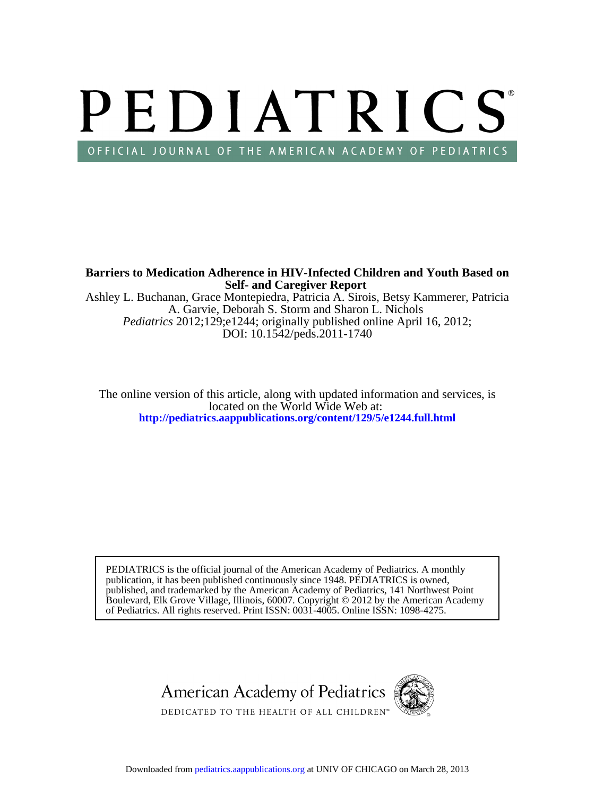# PEDIATRICS OFFICIAL JOURNAL OF THE AMERICAN ACADEMY OF PEDIATRICS

**Self- and Caregiver Report Barriers to Medication Adherence in HIV-Infected Children and Youth Based on**

DOI: 10.1542/peds.2011-1740 *Pediatrics* 2012;129;e1244; originally published online April 16, 2012; A. Garvie, Deborah S. Storm and Sharon L. Nichols Ashley L. Buchanan, Grace Montepiedra, Patricia A. Sirois, Betsy Kammerer, Patricia

**<http://pediatrics.aappublications.org/content/129/5/e1244.full.html>** located on the World Wide Web at: The online version of this article, along with updated information and services, is

of Pediatrics. All rights reserved. Print ISSN: 0031-4005. Online ISSN: 1098-4275. Boulevard, Elk Grove Village, Illinois, 60007. Copyright © 2012 by the American Academy published, and trademarked by the American Academy of Pediatrics, 141 Northwest Point publication, it has been published continuously since 1948. PEDIATRICS is owned, PEDIATRICS is the official journal of the American Academy of Pediatrics. A monthly

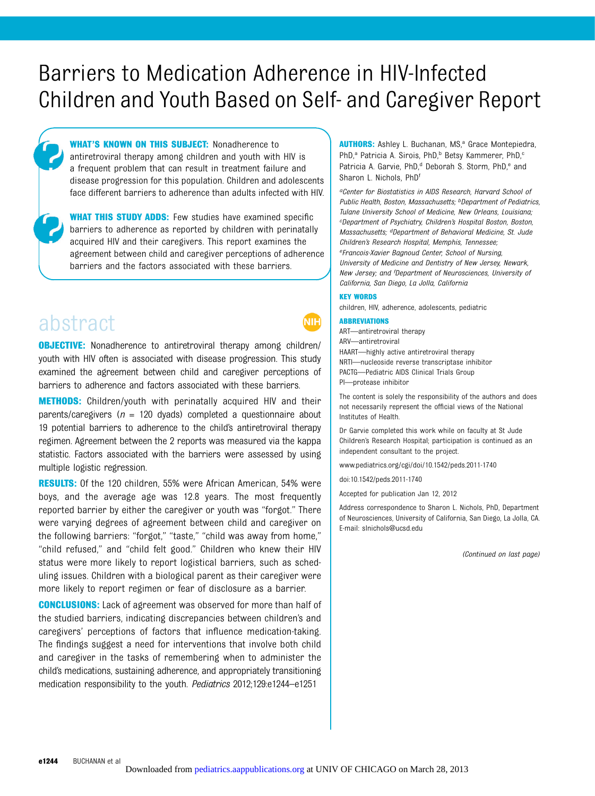# Barriers to Medication Adherence in HIV-Infected Children and Youth Based on Self- and Caregiver Report

WHAT'S KNOWN ON THIS SUBJECT: Nonadherence to antiretroviral therapy among children and youth with HIV is a frequent problem that can result in treatment failure and disease progression for this population. Children and adolescents face different barriers to adherence than adults infected with HIV.

WHAT THIS STUDY ADDS: Few studies have examined specific barriers to adherence as reported by children with perinatally acquired HIV and their caregivers. This report examines the agreement between child and caregiver perceptions of adherence barriers and the factors associated with these barriers.

# abstract

**OBJECTIVE:** Nonadherence to antiretroviral therapy among children/ youth with HIV often is associated with disease progression. This study examined the agreement between child and caregiver perceptions of barriers to adherence and factors associated with these barriers.

**METHODS:** Children/youth with perinatally acquired HIV and their parents/caregivers ( $n = 120$  dyads) completed a questionnaire about 19 potential barriers to adherence to the child's antiretroviral therapy regimen. Agreement between the 2 reports was measured via the kappa statistic. Factors associated with the barriers were assessed by using multiple logistic regression.

RESULTS: Of the 120 children, 55% were African American, 54% were boys, and the average age was 12.8 years. The most frequently reported barrier by either the caregiver or youth was "forgot." There were varying degrees of agreement between child and caregiver on the following barriers: "forgot," "taste," "child was away from home," "child refused," and "child felt good." Children who knew their HIV status were more likely to report logistical barriers, such as scheduling issues. Children with a biological parent as their caregiver were more likely to report regimen or fear of disclosure as a barrier.

**CONCLUSIONS:** Lack of agreement was observed for more than half of the studied barriers, indicating discrepancies between children's and caregivers' perceptions of factors that influence medication-taking. The findings suggest a need for interventions that involve both child and caregiver in the tasks of remembering when to administer the child's medications, sustaining adherence, and appropriately transitioning medication responsibility to the youth. Pediatrics 2012;129:e1244–e1251

AUTHORS: Ashley L. Buchanan, MS,<sup>a</sup> Grace Montepiedra, PhD,<sup>a</sup> Patricia A. Sirois, PhD,<sup>b</sup> Betsy Kammerer, PhD,<sup>c</sup> Patricia A. Garvie, PhD,<sup>d</sup> Deborah S. Storm, PhD,<sup>e</sup> and Sharon L. Nichols, PhDf

aCenter for Biostatistics in AIDS Research, Harvard School of Public Health, Boston, Massachusetts; **bDepartment of Pediatrics**, Tulane University School of Medicine, New Orleans, Louisiana; cDepartment of Psychiatry, Children's Hospital Boston, Boston, Massachusetts; dDepartment of Behavioral Medicine, St. Jude Children's Research Hospital, Memphis, Tennessee; eFrancois-Xavier Bagnoud Center, School of Nursing, University of Medicine and Dentistry of New Jersey, Newark, New Jersey; and <sup>f</sup>Department of Neurosciences, University of California, San Diego, La Jolla, California

#### KEY WORDS

children, HIV, adherence, adolescents, pediatric

#### ABBREVIATIONS

ART—antiretroviral therapy ARV—antiretroviral HAART—highly active antiretroviral therapy NRTI—nucleoside reverse transcriptase inhibitor PACTG—Pediatric AIDS Clinical Trials Group PI—protease inhibitor

The content is solely the responsibility of the authors and does not necessarily represent the official views of the National Institutes of Health.

Dr Garvie completed this work while on faculty at St Jude Children's Research Hospital; participation is continued as an independent consultant to the project.

www.pediatrics.org/cgi/doi/10.1542/peds.2011-1740

doi:10.1542/peds.2011-1740

Accepted for publication Jan 12, 2012

Address correspondence to Sharon L. Nichols, PhD, Department of Neurosciences, University of California, San Diego, La Jolla, CA. E-mail: [slnichols@ucsd.edu](mailto:slnichols@ucsd.edu)

(Continued on last page)

NIH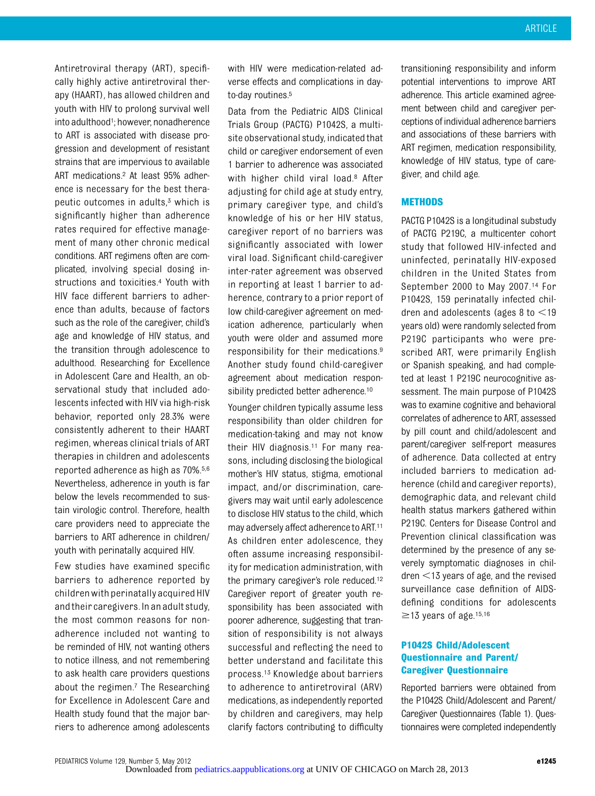Antiretroviral therapy (ART), specifically highly active antiretroviral therapy (HAART), has allowed children and youth with HIV to prolong survival well into adulthood<sup>1</sup>; however, nonadherence to ART is associated with disease progression and development of resistant strains that are impervious to available ART medications.2 At least 95% adherence is necessary for the best therapeutic outcomes in adults, $3$  which is significantly higher than adherence rates required for effective management of many other chronic medical conditions. ART regimens often are complicated, involving special dosing instructions and toxicities.4 Youth with HIV face different barriers to adherence than adults, because of factors such as the role of the caregiver, child's age and knowledge of HIV status, and the transition through adolescence to adulthood. Researching for Excellence in Adolescent Care and Health, an observational study that included adolescents infected with HIV via high-risk behavior, reported only 28.3% were consistently adherent to their HAART regimen, whereas clinical trials of ART therapies in children and adolescents reported adherence as high as 70%.5,6 Nevertheless, adherence in youth is far below the levels recommended to sustain virologic control. Therefore, health care providers need to appreciate the barriers to ART adherence in children/ youth with perinatally acquired HIV.

Few studies have examined specific barriers to adherence reported by children with perinatally acquired HIV andtheir caregivers. In an adult study, the most common reasons for nonadherence included not wanting to be reminded of HIV, not wanting others to notice illness, and not remembering to ask health care providers questions about the regimen.7 The Researching for Excellence in Adolescent Care and Health study found that the major barriers to adherence among adolescents

with HIV were medication-related adverse effects and complications in dayto-day routines.<sup>5</sup>

Data from the Pediatric AIDS Clinical Trials Group (PACTG) P1042S, a multisite observational study, indicated that child or caregiver endorsement of even 1 barrier to adherence was associated with higher child viral load.<sup>8</sup> After adjusting for child age at study entry, primary caregiver type, and child's knowledge of his or her HIV status, caregiver report of no barriers was significantly associated with lower viral load. Significant child-caregiver inter-rater agreement was observed in reporting at least 1 barrier to adherence, contrary to a prior report of low child-caregiver agreement on medication adherence, particularly when youth were older and assumed more responsibility for their medications.9 Another study found child-caregiver agreement about medication responsibility predicted better adherence.<sup>10</sup>

Younger children typically assume less responsibility than older children for medication-taking and may not know their HIV diagnosis.11 For many reasons, including disclosing the biological mother's HIV status, stigma, emotional impact, and/or discrimination, caregivers may wait until early adolescence to disclose HIV status to the child, which may adversely affect adherence to ART.11 As children enter adolescence, they often assume increasing responsibility for medication administration, with the primary caregiver's role reduced.12 Caregiver report of greater youth responsibility has been associated with poorer adherence, suggesting that transition of responsibility is not always successful and reflecting the need to better understand and facilitate this process.13 Knowledge about barriers to adherence to antiretroviral (ARV) medications, as independently reported by children and caregivers, may help clarify factors contributing to difficulty transitioning responsibility and inform potential interventions to improve ART adherence. This article examined agreement between child and caregiver perceptions of individual adherence barriers and associations of these barriers with ART regimen, medication responsibility, knowledge of HIV status, type of caregiver, and child age.

# **METHODS**

PACTG P1042S is a longitudinal substudy of PACTG P219C, a multicenter cohort study that followed HIV-infected and uninfected, perinatally HIV-exposed children in the United States from September 2000 to May 2007.14 For P1042S, 159 perinatally infected children and adolescents (ages  $8$  to  $\leq$ 19 years old) were randomly selected from P219C participants who were prescribed ART, were primarily English or Spanish speaking, and had completed at least 1 P219C neurocognitive assessment. The main purpose of P1042S was to examine cognitive and behavioral correlates of adherence to ART, assessed by pill count and child/adolescent and parent/caregiver self-report measures of adherence. Data collected at entry included barriers to medication adherence (child and caregiver reports), demographic data, and relevant child health status markers gathered within P219C. Centers for Disease Control and Prevention clinical classification was determined by the presence of any severely symptomatic diagnoses in children  $<$ 13 years of age, and the revised surveillance case definition of AIDSdefining conditions for adolescents  $\geq$ 13 years of age.<sup>15,16</sup>

# P1042S Child/Adolescent Questionnaire and Parent/ Caregiver Questionnaire

Reported barriers were obtained from the P1042S Child/Adolescent and Parent/ Caregiver Questionnaires (Table 1). Questionnaires were completed independently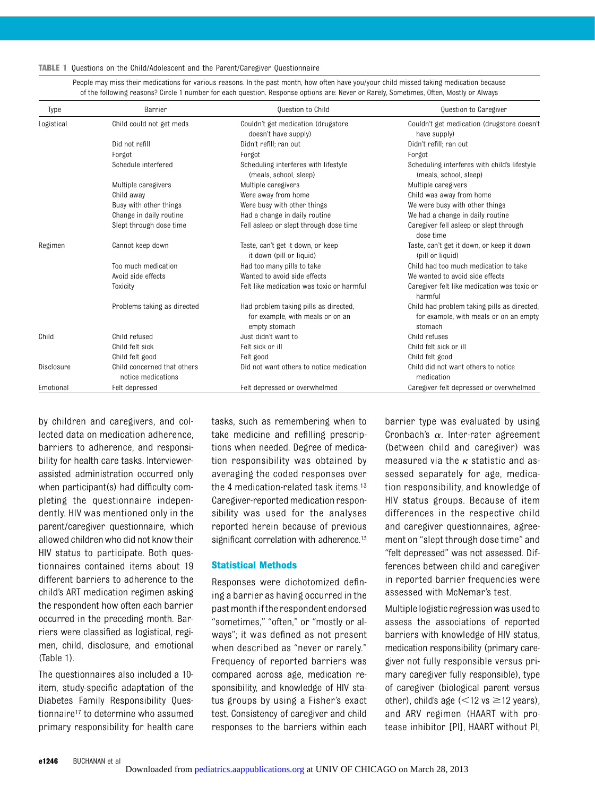TABLE 1 Questions on the Child/Adolescent and the Parent/Caregiver Questionnaire

People may miss their medications for various reasons. In the past month, how often have you/your child missed taking medication because of the following reasons? Circle 1 number for each question. Response options are: Never or Rarely, Sometimes, Often, Mostly or Always

| Type       | Barrier                                           | <b>Question to Child</b>                                                                   | Question to Caregiver                                                                            |
|------------|---------------------------------------------------|--------------------------------------------------------------------------------------------|--------------------------------------------------------------------------------------------------|
| Logistical | Child could not get meds                          | Couldn't get medication (drugstore<br>doesn't have supply)                                 | Couldn't get medication (drugstore doesn't<br>have supply)                                       |
|            | Did not refill                                    | Didn't refill: ran out                                                                     | Didn't refill; ran out                                                                           |
|            | Forgot                                            | Forgot                                                                                     | Forgot                                                                                           |
|            | Schedule interfered                               | Scheduling interferes with lifestyle<br>(meals, school, sleep)                             | Scheduling interferes with child's lifestyle<br>(meals, school, sleep)                           |
|            | Multiple caregivers                               | Multiple caregivers                                                                        | Multiple caregivers                                                                              |
|            | Child away                                        | Were away from home                                                                        | Child was away from home                                                                         |
|            | Busy with other things                            | Were busy with other things                                                                | We were busy with other things                                                                   |
|            | Change in daily routine                           | Had a change in daily routine                                                              | We had a change in daily routine                                                                 |
|            | Slept through dose time                           | Fell asleep or slept through dose time                                                     | Caregiver fell asleep or slept through<br>dose time                                              |
| Regimen    | Cannot keep down                                  | Taste, can't get it down, or keep<br>it down (pill or liquid)                              | Taste, can't get it down, or keep it down<br>(pill or liquid)                                    |
|            | Too much medication                               | Had too many pills to take                                                                 | Child had too much medication to take                                                            |
|            | Avoid side effects                                | Wanted to avoid side effects                                                               | We wanted to avoid side effects                                                                  |
|            | Toxicity                                          | Felt like medication was toxic or harmful                                                  | Caregiver felt like medication was toxic or<br>harmful                                           |
|            | Problems taking as directed                       | Had problem taking pills as directed,<br>for example, with meals or on an<br>empty stomach | Child had problem taking pills as directed,<br>for example, with meals or on an empty<br>stomach |
| Child      | Child refused                                     | Just didn't want to                                                                        | Child refuses                                                                                    |
|            | Child felt sick                                   | Felt sick or ill                                                                           | Child felt sick or ill                                                                           |
|            | Child felt good                                   | Felt good                                                                                  | Child felt good                                                                                  |
| Disclosure | Child concerned that others<br>notice medications | Did not want others to notice medication                                                   | Child did not want others to notice<br>medication                                                |
| Emotional  | Felt depressed                                    | Felt depressed or overwhelmed                                                              | Caregiver felt depressed or overwhelmed                                                          |

by children and caregivers, and collected data on medication adherence, barriers to adherence, and responsibility for health care tasks. Interviewerassisted administration occurred only when participant(s) had difficulty completing the questionnaire independently. HIV was mentioned only in the parent/caregiver questionnaire, which allowed children who did not know their HIV status to participate. Both questionnaires contained items about 19 different barriers to adherence to the child's ART medication regimen asking the respondent how often each barrier occurred in the preceding month. Barriers were classified as logistical, regimen, child, disclosure, and emotional (Table 1).

The questionnaires also included a 10 item, study-specific adaptation of the Diabetes Family Responsibility Questionnaire17 to determine who assumed primary responsibility for health care tasks, such as remembering when to take medicine and refilling prescriptions when needed. Degree of medication responsibility was obtained by averaging the coded responses over the 4 medication-related task items.13 Caregiver-reported medication responsibility was used for the analyses reported herein because of previous significant correlation with adherence.<sup>13</sup>

#### Statistical Methods

Responses were dichotomized defining a barrier as having occurred in the past month ifthe respondent endorsed "sometimes," "often," or "mostly or always"; it was defined as not present when described as "never or rarely." Frequency of reported barriers was compared across age, medication responsibility, and knowledge of HIV status groups by using a Fisher's exact test. Consistency of caregiver and child responses to the barriers within each

barrier type was evaluated by using Cronbach's  $\alpha$ . Inter-rater agreement (between child and caregiver) was measured via the  $\kappa$  statistic and assessed separately for age, medication responsibility, and knowledge of HIV status groups. Because of item differences in the respective child and caregiver questionnaires, agreement on "slept through dose time" and "felt depressed" was not assessed. Differences between child and caregiver in reported barrier frequencies were assessed with McNemar's test.

Multiple logistic regression was usedto assess the associations of reported barriers with knowledge of HIV status, medication responsibility (primary caregiver not fully responsible versus primary caregiver fully responsible), type of caregiver (biological parent versus other), child's age  $(<12$  vs  $\geq$ 12 years), and ARV regimen (HAART with protease inhibitor [PI], HAART without PI,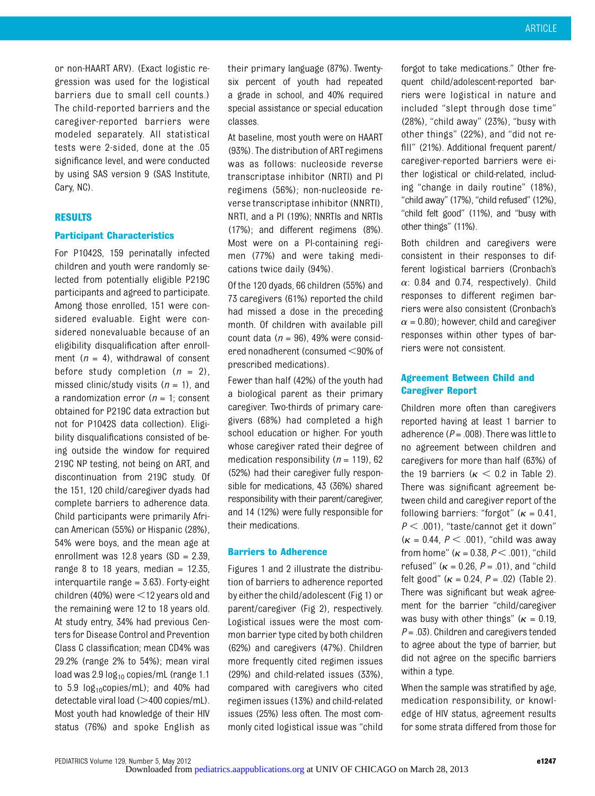or non-HAART ARV). (Exact logistic regression was used for the logistical barriers due to small cell counts.) The child-reported barriers and the caregiver-reported barriers were modeled separately. All statistical tests were 2-sided, done at the .05 significance level, and were conducted by using SAS version 9 (SAS Institute, Cary, NC).

#### RESULTS

#### Participant Characteristics

For P1042S, 159 perinatally infected children and youth were randomly selected from potentially eligible P219C participants and agreed to participate. Among those enrolled, 151 were considered evaluable. Eight were considered nonevaluable because of an eligibility disqualification after enrollment  $(n = 4)$ , withdrawal of consent before study completion  $(n = 2)$ , missed clinic/study visits  $(n = 1)$ , and a randomization error ( $n = 1$ ; consent obtained for P219C data extraction but not for P1042S data collection). Eligibility disqualifications consisted of being outside the window for required 219C NP testing, not being on ART, and discontinuation from 219C study. Of the 151, 120 child/caregiver dyads had complete barriers to adherence data. Child participants were primarily African American (55%) or Hispanic (28%), 54% were boys, and the mean age at enrollment was  $12.8$  years  $(SD = 2.39)$ , range 8 to 18 years, median  $= 12.35$ , interquartile range  $=$  3.63). Forty-eight children (40%) were  $\leq$  12 years old and the remaining were 12 to 18 years old. At study entry, 34% had previous Centers for Disease Control and Prevention Class C classification; mean CD4% was 29.2% (range 2% to 54%); mean viral load was  $2.9 \log_{10}$  copies/mL (range 1.1 to  $5.9 \log_{10}$ copies/mL); and  $40\%$  had detectable viral load  $(>400$  copies/mL). Most youth had knowledge of their HIV status (76%) and spoke English as

their primary language (87%). Twentysix percent of youth had repeated a grade in school, and 40% required special assistance or special education classes.

At baseline, most youth were on HAART (93%). The distribution of ART regimens was as follows: nucleoside reverse transcriptase inhibitor (NRTI) and PI regimens (56%); non-nucleoside reverse transcriptase inhibitor (NNRTI), NRTI, and a PI (19%); NNRTIs and NRTIs (17%); and different regimens (8%). Most were on a PI-containing regimen (77%) and were taking medications twice daily (94%).

Of the 120 dyads, 66 children (55%) and 73 caregivers (61%) reported the child had missed a dose in the preceding month. Of children with available pill count data ( $n = 96$ ), 49% were considered nonadherent (consumed  $<$ 90% of prescribed medications).

Fewer than half (42%) of the youth had a biological parent as their primary caregiver. Two-thirds of primary caregivers (68%) had completed a high school education or higher. For youth whose caregiver rated their degree of medication responsibility ( $n = 119$ ), 62 (52%) had their caregiver fully responsible for medications, 43 (36%) shared responsibility with their parent/caregiver, and 14 (12%) were fully responsible for their medications.

#### Barriers to Adherence

Figures 1 and 2 illustrate the distribution of barriers to adherence reported by either the child/adolescent (Fig 1) or parent/caregiver (Fig 2), respectively. Logistical issues were the most common barrier type cited by both children (62%) and caregivers (47%). Children more frequently cited regimen issues (29%) and child-related issues (33%), compared with caregivers who cited regimen issues (13%) and child-related issues (25%) less often. The most commonly cited logistical issue was "child

forgot to take medications." Other frequent child/adolescent-reported barriers were logistical in nature and included "slept through dose time" (28%), "child away" (23%), "busy with other things" (22%), and "did not refill" (21%). Additional frequent parent/ caregiver-reported barriers were either logistical or child-related, including "change in daily routine" (18%), "child away" (17%), "child refused" (12%), "child felt good" (11%), and "busy with other things" (11%).

Both children and caregivers were consistent in their responses to different logistical barriers (Cronbach's  $\alpha$ : 0.84 and 0.74, respectively). Child responses to different regimen barriers were also consistent (Cronbach's  $\alpha$  = 0.80); however, child and caregiver responses within other types of barriers were not consistent.

# Agreement Between Child and Caregiver Report

Children more often than caregivers reported having at least 1 barrier to adherence ( $P = .008$ ). There was little to no agreement between children and caregivers for more than half (63%) of the 19 barriers ( $\kappa$  < 0.2 in Table 2). There was significant agreement between child and caregiver report of the following barriers: "forgot" ( $\kappa = 0.41$ ,  $P < .001$ , "taste/cannot get it down"  $(\kappa = 0.44, P < .001)$ , "child was away from home" ( $\kappa$  = 0.38, P < .001), "child refused" ( $\kappa$  = 0.26, P = .01), and "child felt good" ( $\kappa = 0.24$ ,  $P = .02$ ) (Table 2). There was significant but weak agreement for the barrier "child/caregiver was busy with other things" ( $\kappa = 0.19$ ,  $P = .03$ ). Children and caregivers tended to agree about the type of barrier, but did not agree on the specific barriers within a type.

When the sample was stratified by age, medication responsibility, or knowledge of HIV status, agreement results for some strata differed from those for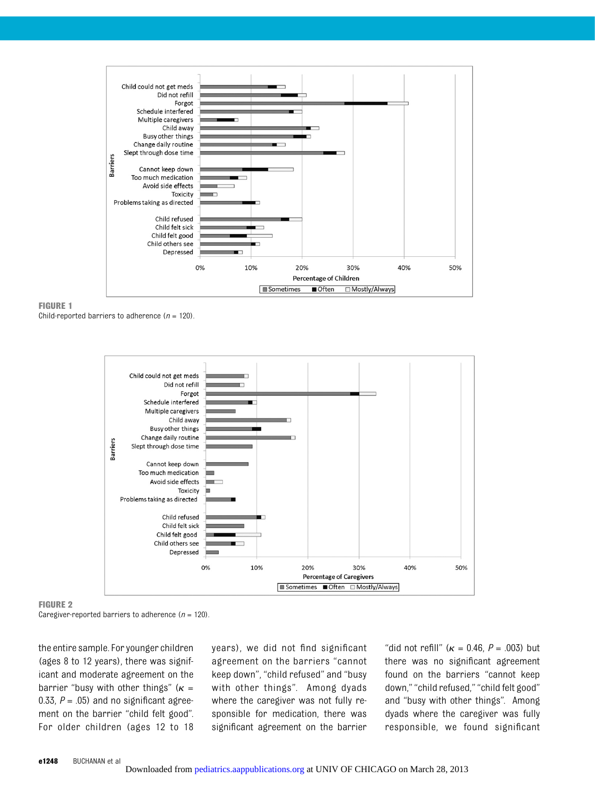





#### FIGURE 2

Caregiver-reported barriers to adherence ( $n = 120$ ).

the entire sample. For younger children (ages 8 to 12 years), there was significant and moderate agreement on the barrier "busy with other things" ( $\kappa$  = 0.33,  $P = .05$ ) and no significant agreement on the barrier "child felt good". For older children (ages 12 to 18 years), we did not find significant agreement on the barriers "cannot keep down", "child refused" and "busy with other things". Among dyads where the caregiver was not fully responsible for medication, there was significant agreement on the barrier "did not refill" ( $\kappa$  = 0.46, P = .003) but there was no significant agreement found on the barriers "cannot keep down," "child refused," "child felt good" and "busy with other things". Among dyads where the caregiver was fully responsible, we found significant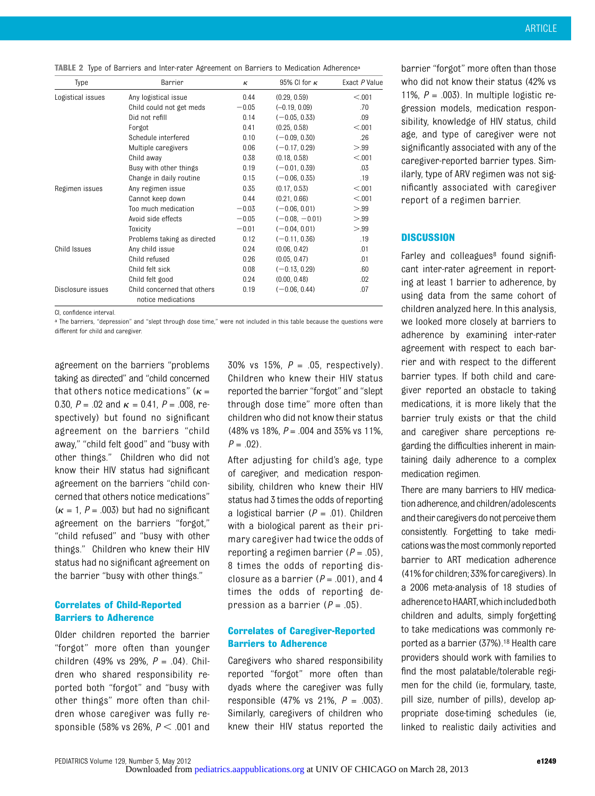|  |  |  |  |  |  |  |  |  |  | <b>TABLE 2</b> Type of Barriers and Inter-rater Agreement on Barriers to Medication Adherence <sup>a</sup> |
|--|--|--|--|--|--|--|--|--|--|------------------------------------------------------------------------------------------------------------|
|--|--|--|--|--|--|--|--|--|--|------------------------------------------------------------------------------------------------------------|

| Type              | Barrier                                           | к       | 95% CI for $\kappa$ | Exact P Value |
|-------------------|---------------------------------------------------|---------|---------------------|---------------|
| Logistical issues | Any logistical issue                              | 0.44    | (0.29, 0.59)        | < 0.01        |
|                   | Child could not get meds                          | $-0.05$ | $(-0.19, 0.09)$     | .70           |
|                   | Did not refill                                    | 0.14    | $(-0.05, 0.33)$     | .09           |
|                   | Forgot                                            | 0.41    | (0.25, 0.58)        | < 0.01        |
|                   | Schedule interfered                               | 0.10    | $(-0.09, 0.30)$     | .26           |
|                   | Multiple caregivers                               | 0.06    | $(-0.17, 0.29)$     | > 99          |
|                   | Child away                                        | 0.38    | (0.18, 0.58)        | < 0.001       |
|                   | Busy with other things                            | 0.19    | $(-0.01, 0.39)$     | .03           |
|                   | Change in daily routine                           | 0.15    | $(-0.06, 0.35)$     | .19           |
| Regimen issues    | Any regimen issue                                 | 0.35    | (0.17, 0.53)        | < 0.01        |
|                   | Cannot keep down                                  | 0.44    | (0.21, 0.66)        | < 0.01        |
|                   | Too much medication                               | $-0.03$ | $(-0.06, 0.01)$     | > 99          |
|                   | Avoid side effects                                | $-0.05$ | $(-0.08, -0.01)$    | > 99          |
|                   | Toxicity                                          | $-0.01$ | $(-0.04, 0.01)$     | > 99          |
|                   | Problems taking as directed                       | 0.12    | $(-0.11, 0.36)$     | .19           |
| Child Issues      | Any child issue                                   | 0.24    | (0.06, 0.42)        | .01           |
|                   | Child refused                                     | 0.26    | (0.05, 0.47)        | .01           |
|                   | Child felt sick                                   | 0.08    | $(-0.13, 0.29)$     | .60           |
|                   | Child felt good                                   | 0.24    | (0.00, 0.48)        | .02           |
| Disclosure issues | Child concerned that others<br>notice medications | 0.19    | $(-0.06, 0.44)$     | .07           |

CI, confidence interval.

a The barriers, "depression" and "slept through dose time," were not included in this table because the questions were different for child and caregiver.

agreement on the barriers "problems taking as directed" and "child concerned that others notice medications" ( $\kappa$  = 0.30,  $P = 0.02$  and  $\kappa = 0.41$ ,  $P = 0.008$ , respectively) but found no significant agreement on the barriers "child away," "child felt good" and "busy with other things." Children who did not know their HIV status had significant agreement on the barriers "child concerned that others notice medications"  $(k = 1, P = .003)$  but had no significant agreement on the barriers "forgot," "child refused" and "busy with other things." Children who knew their HIV status had no significant agreement on the barrier "busy with other things."

# Correlates of Child-Reported Barriers to Adherence

Older children reported the barrier "forgot" more often than younger children (49% vs 29%,  $P = .04$ ). Children who shared responsibility reported both "forgot" and "busy with other things" more often than children whose caregiver was fully responsible (58% vs 26%,  $P < .001$  and

30% vs 15%,  $P = 0.05$ , respectively). Children who knew their HIV status reported the barrier "forgot" and "slept through dose time" more often than children who did not know their status (48% vs 18%,  $P = 0.004$  and 35% vs 11%,  $P = .02$ ).

After adjusting for child's age, type of caregiver, and medication responsibility, children who knew their HIV status had 3 times the odds of reporting a logistical barrier ( $P = .01$ ). Children with a biological parent as their primary caregiver had twice the odds of reporting a regimen barrier ( $P = .05$ ), 8 times the odds of reporting disclosure as a barrier ( $P = .001$ ), and 4 times the odds of reporting depression as a barrier ( $P = .05$ ).

## Correlates of Caregiver-Reported Barriers to Adherence

Caregivers who shared responsibility reported "forgot" more often than dyads where the caregiver was fully responsible (47% vs 21%,  $P = .003$ ). Similarly, caregivers of children who knew their HIV status reported the

barrier "forgot" more often than those who did not know their status (42% vs 11%,  $P = .003$ ). In multiple logistic regression models, medication responsibility, knowledge of HIV status, child age, and type of caregiver were not significantly associated with any of the caregiver-reported barrier types. Similarly, type of ARV regimen was not significantly associated with caregiver report of a regimen barrier.

### **DISCUSSION**

Farley and colleagues<sup>8</sup> found significant inter-rater agreement in reporting at least 1 barrier to adherence, by using data from the same cohort of children analyzed here. In this analysis, we looked more closely at barriers to adherence by examining inter-rater agreement with respect to each barrier and with respect to the different barrier types. If both child and caregiver reported an obstacle to taking medications, it is more likely that the barrier truly exists or that the child and caregiver share perceptions regarding the difficulties inherent in maintaining daily adherence to a complex medication regimen.

There are many barriers to HIV medication adherence, and children/adolescents and their caregivers do not perceive them consistently. Forgetting to take medications was the most commonly reported barrier to ART medication adherence (41%for children; 33%forcaregivers). In a 2006 meta-analysis of 18 studies of adherence to HAART, which included both children and adults, simply forgetting to take medications was commonly reported as a barrier (37%).18 Health care providers should work with families to find the most palatable/tolerable regimen for the child (ie, formulary, taste, pill size, number of pills), develop appropriate dose-timing schedules (ie, linked to realistic daily activities and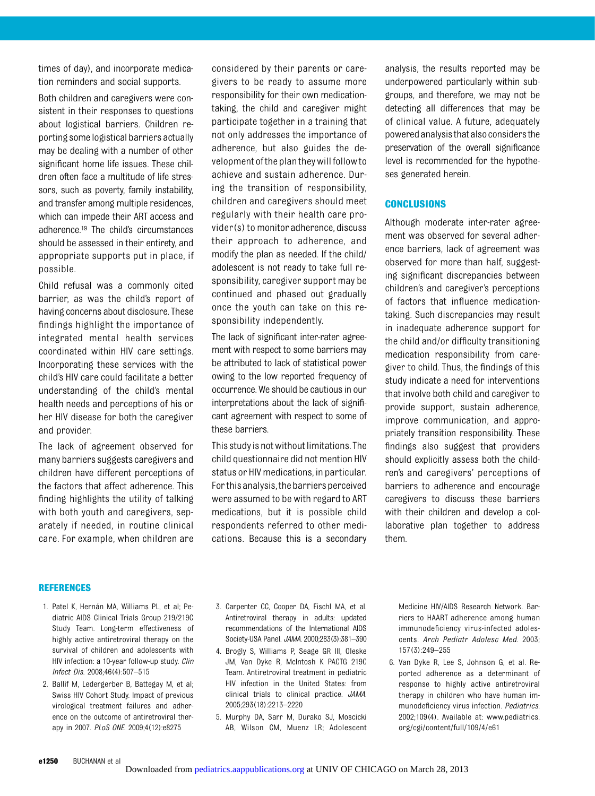times of day), and incorporate medication reminders and social supports.

Both children and caregivers were consistent in their responses to questions about logistical barriers. Children reporting some logistical barriers actually may be dealing with a number of other significant home life issues. These children often face a multitude of life stressors, such as poverty, family instability, and transfer among multiple residences, which can impede their ART access and adherence.19 The child's circumstances should be assessed in their entirety, and appropriate supports put in place, if possible.

Child refusal was a commonly cited barrier, as was the child's report of having concerns about disclosure. These findings highlight the importance of integrated mental health services coordinated within HIV care settings. Incorporating these services with the child's HIV care could facilitate a better understanding of the child's mental health needs and perceptions of his or her HIV disease for both the caregiver and provider.

The lack of agreement observed for many barriers suggests caregivers and children have different perceptions of the factors that affect adherence. This finding highlights the utility of talking with both youth and caregivers, separately if needed, in routine clinical care. For example, when children are

considered by their parents or caregivers to be ready to assume more responsibility for their own medicationtaking, the child and caregiver might participate together in a training that not only addresses the importance of adherence, but also guides the development ofthe plantheywillfollowto achieve and sustain adherence. During the transition of responsibility, children and caregivers should meet regularly with their health care provider(s) to monitor adherence, discuss their approach to adherence, and modify the plan as needed. If the child/ adolescent is not ready to take full responsibility, caregiver support may be continued and phased out gradually once the youth can take on this responsibility independently.

The lack of significant inter-rater agreement with respect to some barriers may be attributed to lack of statistical power owing to the low reported frequency of occurrence. We should be cautious in our interpretations about the lack of significant agreement with respect to some of these barriers.

This study is notwithout limitations. The child questionnaire did not mention HIV status or HIV medications, in particular. For this analysis,the barriers perceived were assumed to be with regard to ART medications, but it is possible child respondents referred to other medications. Because this is a secondary analysis, the results reported may be underpowered particularly within subgroups, and therefore, we may not be detecting all differences that may be of clinical value. A future, adequately poweredanalysisthat alsoconsidersthe preservation of the overall significance level is recommended for the hypotheses generated herein.

### **CONCLUSIONS**

Although moderate inter-rater agreement was observed for several adherence barriers, lack of agreement was observed for more than half, suggesting significant discrepancies between children's and caregiver's perceptions of factors that influence medicationtaking. Such discrepancies may result in inadequate adherence support for the child and/or difficulty transitioning medication responsibility from caregiver to child. Thus, the findings of this study indicate a need for interventions that involve both child and caregiver to provide support, sustain adherence, improve communication, and appropriately transition responsibility. These findings also suggest that providers should explicitly assess both the children's and caregivers' perceptions of barriers to adherence and encourage caregivers to discuss these barriers with their children and develop a collaborative plan together to address them.

#### REFERENCES

- 1. Patel K, Hernán MA, Williams PL, et al; Pediatric AIDS Clinical Trials Group 219/219C Study Team. Long-term effectiveness of highly active antiretroviral therapy on the survival of children and adolescents with HIV infection: a 10-year follow-up study. Clin Infect Dis. 2008;46(4):507–515
- 2. Ballif M, Ledergerber B, Battegay M, et al; Swiss HIV Cohort Study. Impact of previous virological treatment failures and adherence on the outcome of antiretroviral therapy in 2007. PLoS ONE. 2009;4(12):e8275
- 3. Carpenter CC, Cooper DA, Fischl MA, et al. Antiretroviral therapy in adults: updated recommendations of the International AIDS Society-USA Panel. JAMA. 2000;283(3):381–390
- 4. Brogly S, Williams P, Seage GR III, Oleske JM, Van Dyke R, McIntosh K PACTG 219C Team. Antiretroviral treatment in pediatric HIV infection in the United States: from clinical trials to clinical practice. JAMA. 2005;293(18):2213–2220
- 5. Murphy DA, Sarr M, Durako SJ, Moscicki AB, Wilson CM, Muenz LR; Adolescent

Medicine HIV/AIDS Research Network. Barriers to HAART adherence among human immunodeficiency virus-infected adolescents. Arch Pediatr Adolesc Med. 2003; 157(3):249–255

6. Van Dyke R, Lee S, Johnson G, et al. Reported adherence as a determinant of response to highly active antiretroviral therapy in children who have human immunodeficiency virus infection. Pediatrics. 2002;109(4). Available at: www.pediatrics. org/cgi/content/full/109/4/e61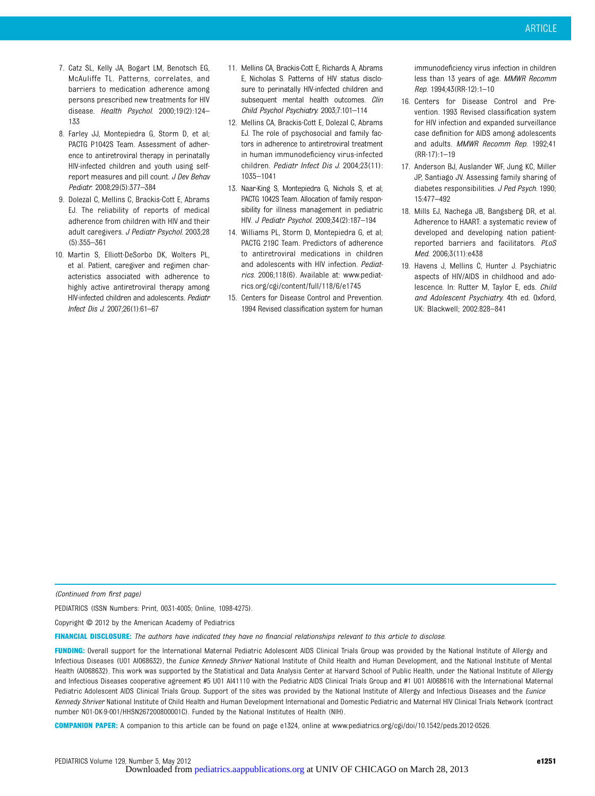- 7. Catz SL, Kelly JA, Bogart LM, Benotsch EG, McAuliffe TL. Patterns, correlates, and barriers to medication adherence among persons prescribed new treatments for HIV disease. Health Psychol. 2000;19(2):124– 133
- 8. Farley JJ, Montepiedra G, Storm D, et al; PACTG P1042S Team. Assessment of adherence to antiretroviral therapy in perinatally HIV-infected children and youth using selfreport measures and pill count. J Dev Behav Pediatr. 2008;29(5):377–384
- 9. Dolezal C, Mellins C, Brackis-Cott E, Abrams EJ. The reliability of reports of medical adherence from children with HIV and their adult caregivers. J Pediatr Psychol. 2003;28 (5):355–361
- 10. Martin S, Elliott-DeSorbo DK, Wolters PL, et al. Patient, caregiver and regimen characteristics associated with adherence to highly active antiretroviral therapy among HIV-infected children and adolescents. Pediatr Infect Dis J. 2007;26(1):61–67
- 11. Mellins CA, Brackis-Cott E, Richards A, Abrams E, Nicholas S. Patterns of HIV status disclosure to perinatally HIV-infected children and subsequent mental health outcomes. Clin Child Psychol Psychiatry. 2003;7:101–114
- 12. Mellins CA, Brackis-Cott E, Dolezal C, Abrams EJ. The role of psychosocial and family factors in adherence to antiretroviral treatment in human immunodeficiency virus-infected children. Pediatr Infect Dis J. 2004;23(11): 1035–1041
- 13. Naar-King S, Montepiedra G, Nichols S, et al; PACTG 1042S Team. Allocation of family responsibility for illness management in pediatric HIV. J Pediatr Psychol. 2009;34(2):187–194
- 14. Williams PL, Storm D, Montepiedra G, et al; PACTG 219C Team. Predictors of adherence to antiretroviral medications in children and adolescents with HIV infection. Pediatrics. 2006;118(6). Available at: www.pediatrics.org/cgi/content/full/118/6/e1745
- 15. Centers for Disease Control and Prevention. 1994 Revised classification system for human

immunodeficiency virus infection in children less than 13 years of age. MMWR Recomm Rep. 1994;43(RR-12):1–10

- 16. Centers for Disease Control and Prevention. 1993 Revised classification system for HIV infection and expanded surveillance case definition for AIDS among adolescents and adults. MMWR Recomm Rep. 1992;41 (RR-17):1–19
- 17. Anderson BJ, Auslander WF, Jung KC, Miller JP, Santiago JV. Assessing family sharing of diabetes responsibilities. J Ped Psych. 1990; 15:477–492
- 18. Mills EJ, Nachega JB, Bangsberg DR, et al. Adherence to HAART: a systematic review of developed and developing nation patientreported barriers and facilitators. PLoS Med. 2006;3(11):e438
- 19. Havens J, Mellins C, Hunter J. Psychiatric aspects of HIV/AIDS in childhood and adolescence. In: Rutter M, Taylor E, eds. Child and Adolescent Psychiatry. 4th ed. Oxford, UK: Blackwell; 2002:828–841

(Continued from first page)

PEDIATRICS (ISSN Numbers: Print, 0031-4005; Online, 1098-4275).

Copyright © 2012 by the American Academy of Pediatrics

FINANCIAL DISCLOSURE: The authors have indicated they have no financial relationships relevant to this article to disclose.

FUNDING: Overall support for the International Maternal Pediatric Adolescent AIDS Clinical Trials Group was provided by the National Institute of Allergy and Infectious Diseases (U01 AI068632), the Eunice Kennedy Shriver National Institute of Child Health and Human Development, and the National Institute of Mental Health (AI068632). This work was supported by the Statistical and Data Analysis Center at Harvard School of Public Health, under the National Institute of Allergy and Infectious Diseases cooperative agreement #5 U01 AI41110 with the Pediatric AIDS Clinical Trials Group and #1 U01 AI068616 with the International Maternal Pediatric Adolescent AIDS Clinical Trials Group. Support of the sites was provided by the National Institute of Allergy and Infectious Diseases and the Eunice Kennedy Shriver National Institute of Child Health and Human Development International and Domestic Pediatric and Maternal HIV Clinical Trials Network (contract number N01-DK-9-001/HHSN267200800001C). Funded by the National Institutes of Health (NIH).

COMPANION PAPER: A companion to this article can be found on page e1324, online at [www.pediatrics.org/cgi/doi/10.1542/peds.2012-0526](http://www.pediatrics.org/cgi/doi/10.1542/peds.2012-0526).